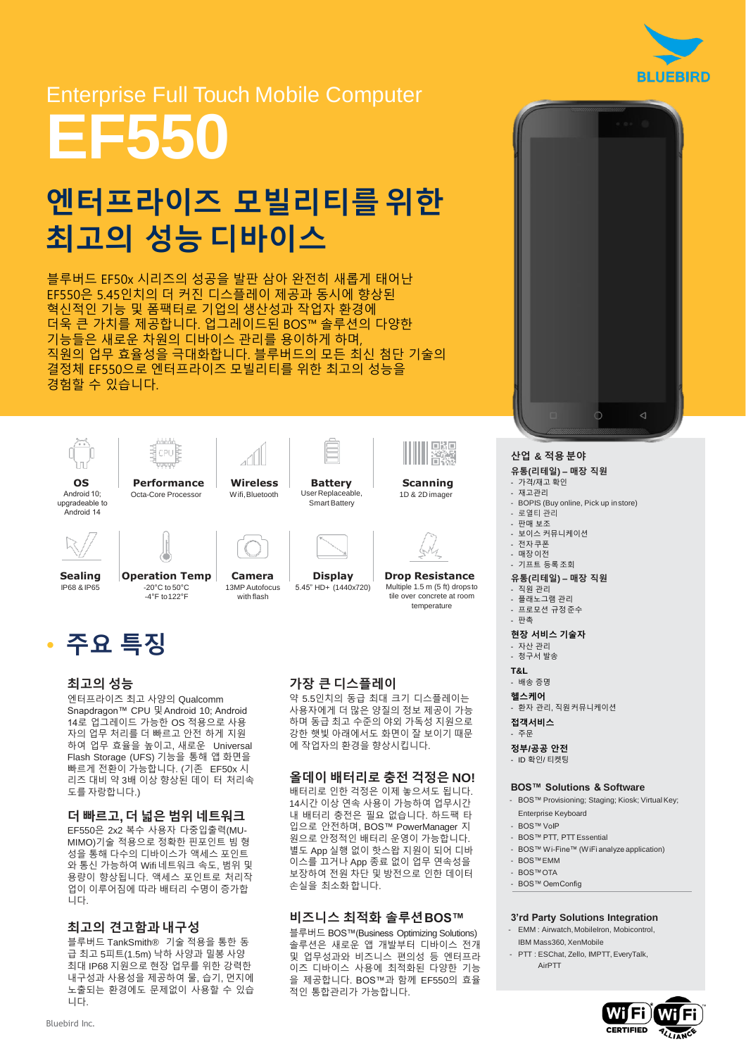

# Enterprise Full Touch Mobile Computer **EF550**

# 엔터프라이즈 모빌리티를위한 최고의 성능 디바이스

블루버드 EF50x 시리즈의 성공을 발판 삼아 완전히 새롭게 태어난 EF550은 5.45인치의 더 커진 디스플레이 제공과 동시에 향상된 혁신적인 기능 및 폼팩터로 기업의 생산성과 작업자 환경에 더욱 큰 가치를 제공합니다. 업그레이드된 BOS™ 솔루션의 다양한 기능들은 새로운 차원의 디바이스 관리를 용이하게 하며, 직원의 업무 효율성을 극대화합니다. 블루버드의 모든 최신 첨단 기술의 결정체 EF550으로 엔터프라이즈 모빌리티를 위한 최고의 성능을 경험할 수 있습니다.



Android 10; upgradeable to Android 14





**Performance** Octa-Core Processor



User Replaceable, Smart Battery



**Scanning** 1D & 2D imager



IP68 & IP65

**Operation Temp** -20°C to 50°C

 $-4^{\circ}$ F to 122°F



13MP Autofocus with flash

**Wireless** Wifi,Bluetooth



**Drop Resistance** Multiple 1.5 m (5 ft) drops to

tile over concrete at room temperature

### • 주요 특징

#### 최고의 성능

엔터프라이즈 최고 사양의 Qualcomm Snapdragon™ CPU 및Android 10; Android 14로 업그레이드 가능한 OS 적용으로 사용 자의 업무 처리를 더 빠르고 안전 하게 지원 하여 업무 효율을 높이고, 새로운 Universal Flash Storage (UFS) 기능을 통해 앱 화면을 빠르게 전환이 가능합니다. (기존 EF50x 시 리즈 대비 약 3배 이상 향상된 데이 터 처리속 도를 자랑합니다.)

#### 더 빠르고**,** 더 넓은 범위 네트워크

EF550은 2x2 복수 사용자 다중입출력(MU-MIMO)기술 적용으로 정확한 핀포인트 빔 형 성을 통해 다수의 디바이스가 액세스 포인트 와 통신 가능하여 Wifi 네트워크 속도, 범위 및 용량이 향상됩니다. 액세스 포인트로 처리작 업이 이루어짐에 따라 배터리 수명이 증가합 니다.

#### 최고의 견고함과 내구성

블루버드 TankSmith® 기술 적용을 통한 동 급 최고 5피트(1.5m) 낙하 사양과 밀봉 사양 최대 IP68 지원으로 현장 업무를 위한 강력한 내구성과 사용성을 제공하여 물, 습기, 먼지에 노출되는 환경에도 문제없이 사용할 수 있습 니다.

#### 가장 큰 디스플레이

약 5.5인치의 동급 최대 크기 디스플레이는 사용자에게 더 많은 양질의 정보 제공이 가능 하며 동급 최고 수준의 야외 가독성 지원으로 강한 햇빛 아래에서도 화면이 잘 보이기 때문 에 작업자의 환경을 향상시킵니다.

#### 올데이 배터리로 충전 걱정은 **NO!**

배터리로 인한 걱정은 이제 놓으셔도 됩니다. 14시간 이상 연속 사용이 가능하여 업무시간 내 배터리 충전은 필요 없습니다. 하드팩 타 입으로 안전하며, BOS™ PowerManager 지 원으로 안정적인 배터리 운영이 가능합니다. 별도 App 실행 없이 핫스왑 지원이 되어 디바 이스를 끄거나 App 종료 없이 업무 연속성을 보장하여 전원 차단 및 방전으로 인한 데이터 손실을 최소화합니다.

#### 비즈니스 최적화 솔루션**BOS™**

블루버드 BOS™(Business Optimizing Solutions) 솔루션은 새로운 앱 개발부터 디바이스 전개 및 업무성과와 비즈니스 편의성 등 엔터프라 이즈 디바이스 사용에 최적화된 다양한 기능 을 제공합니다. BOS™과 함께 EF550의 효율 적인 통합관리가 가능합니다.



#### 산업 **&** 적용 분야

#### 유통**(**리테일**) –** 매장 직원

- 가격/재고 확인
	- 재고관리
- BOPIS (Buy online, Pick up instore)
- 로열티 관리
- 판매 보조 - 보이스 커뮤니케이션
- 전자쿠폰
- 매장이전
- 기프트 등록조회
- 유통**(**리테일**) –** 매장 직원
- 직원 관리
- 플래노그램 관리
- 프로모션 규정준수 - 판촉

#### 현장 서비스 기술자

- 자산 관리
- 청구서 발송
- **T&L**
- 배송 증명
- 헬스케어 - 환자 관리, 직원커뮤니케이션
- 접객서비스
- 주문
- 정부**/**공공 안전
	- ID 확인/ 티켓팅

#### **BOS™ Solutions & Software**

- BOS™ Provisioning; Staging; Kiosk; Virtual Key; Enterprise Keyboard
- BOS™ VoIP
- BOS™ PTT, PTT Essential
- BOS™ Wi-Fine™ (WiFi analyze application)
- BOS™EMM
- BOS™OTA
- BOS™ OemConfig

#### **3'rd Party Solutions Integration**

- EMM : Airwatch, MobileIron, Mobicontrol, IBM Mass360, XenMobile
- PTT : ESChat, Zello, IMPTT, EveryTalk, AirPTT

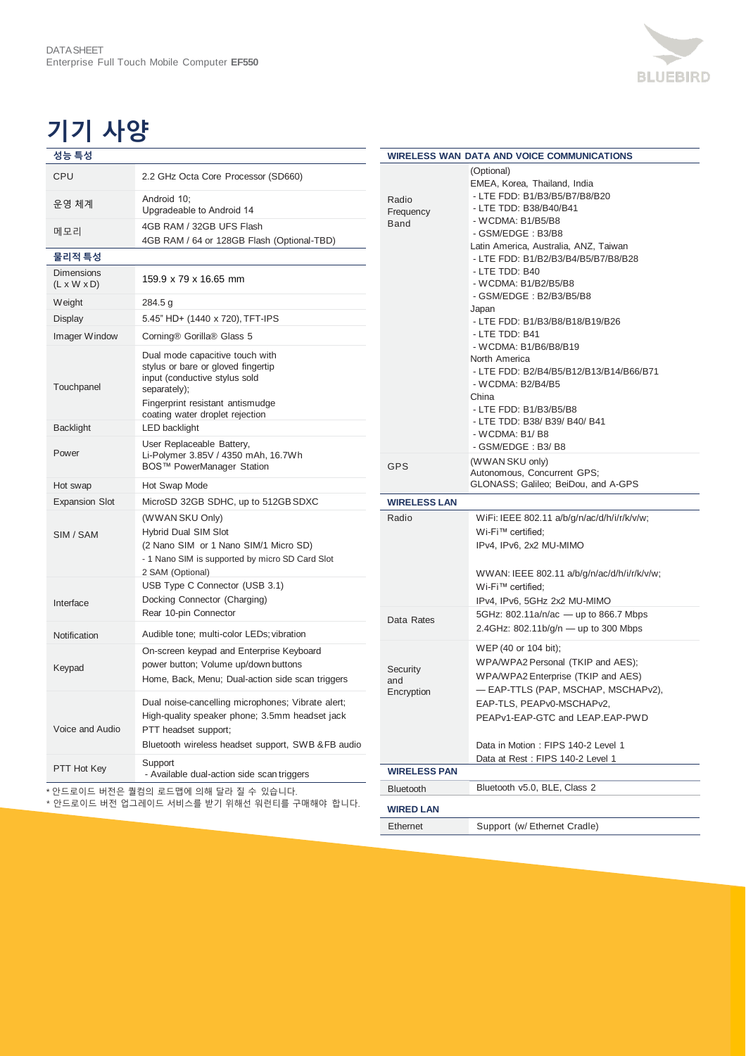## 기기 사양

| 성능 특성                                        |                                                                                                                                                                                  |
|----------------------------------------------|----------------------------------------------------------------------------------------------------------------------------------------------------------------------------------|
| CPU                                          | 2.2 GHz Octa Core Processor (SD660)                                                                                                                                              |
| 운영 체계                                        | Android 10;<br>Upgradeable to Android 14                                                                                                                                         |
| 메모리                                          | 4GB RAM / 32GB UFS Flash<br>4GB RAM / 64 or 128GB Flash (Optional-TBD)                                                                                                           |
| 물리적 특성                                       |                                                                                                                                                                                  |
| <b>Dimensions</b><br>$(L \times W \times D)$ | 159.9 x 79 x 16.65 mm                                                                                                                                                            |
| Weight                                       | 284.5 g                                                                                                                                                                          |
| Display                                      | 5.45" HD+ (1440 x 720), TFT-IPS                                                                                                                                                  |
| Imager Window                                | Corning® Gorilla® Glass 5                                                                                                                                                        |
| Touchpanel                                   | Dual mode capacitive touch with<br>stylus or bare or gloved fingertip<br>input (conductive stylus sold<br>separately);                                                           |
|                                              | Fingerprint resistant antismudge                                                                                                                                                 |
| <b>Backlight</b>                             | coating water droplet rejection<br>LED backlight                                                                                                                                 |
| Power                                        | User Replaceable Battery,<br>Li-Polymer 3.85V / 4350 mAh, 16.7Wh<br>BOS™ PowerManager Station                                                                                    |
| Hot swap                                     | Hot Swap Mode                                                                                                                                                                    |
| <b>Expansion Slot</b>                        | MicroSD 32GB SDHC, up to 512GB SDXC                                                                                                                                              |
| SIM / SAM                                    | (WWAN SKU Only)<br><b>Hybrid Dual SIM Slot</b><br>(2 Nano SIM or 1 Nano SIM/1 Micro SD)<br>- 1 Nano SIM is supported by micro SD Card Slot<br>2 SAM (Optional)                   |
| Interface                                    | USB Type C Connector (USB 3.1)<br>Docking Connector (Charging)<br>Rear 10-pin Connector                                                                                          |
| Notification                                 | Audible tone; multi-color LEDs; vibration                                                                                                                                        |
| Keypad                                       | On-screen keypad and Enterprise Keyboard<br>power button; Volume up/down buttons<br>Home, Back, Menu; Dual-action side scan triggers                                             |
| Voice and Audio                              | Dual noise-cancelling microphones; Vibrate alert;<br>High-quality speaker phone; 3.5mm headset jack<br>PTT headset support;<br>Bluetooth wireless headset support, SWB &FB audio |
| PTT Hot Key                                  | Support<br>- Available dual-action side scan triggers                                                                                                                            |

\* 안드로이드 버전은 퀄컴의 로드맵에 의해 달라 질 수 있습니다.

\* 안드로이드 버전 업그레이드 서비스를 받기 위해선 워런티를 구매해야 합니다.

| <b>WIRELESS WAN DATA AND VOICE COMMUNICATIONS</b> |                                                                                                                                                                                                                                                                                                                                                                                                                                                                                                                                                                                                                    |  |
|---------------------------------------------------|--------------------------------------------------------------------------------------------------------------------------------------------------------------------------------------------------------------------------------------------------------------------------------------------------------------------------------------------------------------------------------------------------------------------------------------------------------------------------------------------------------------------------------------------------------------------------------------------------------------------|--|
| Radio<br>Frequency<br>Band                        | (Optional)<br>EMEA, Korea, Thailand, India<br>- LTE FDD: B1/B3/B5/B7/B8/B20<br>- LTE TDD: B38/B40/B41<br>- WCDMA: B1/B5/B8<br>- GSM/EDGE: B3/B8<br>Latin America, Australia, ANZ, Taiwan<br>- LTE FDD: B1/B2/B3/B4/B5/B7/B8/B28<br>- LTE TDD: B40<br>- WCDMA: B1/B2/B5/B8<br>- GSM/EDGE: B2/B3/B5/B8<br>Japan<br>- LTE FDD: B1/B3/B8/B18/B19/B26<br>- LTE TDD: B41<br>- WCDMA: B1/B6/B8/B19<br>North America<br>- LTE FDD: B2/B4/B5/B12/B13/B14/B66/B71<br>- WCDMA: B2/B4/B5<br>China<br>- LTE FDD: B1/B3/B5/B8<br>- LTE TDD: B38/ B39/ B40/ B41<br>$-WCDMA$ : B <sub>1</sub> /B <sub>8</sub><br>- GSM/EDGE: B3/B8 |  |
| <b>GPS</b>                                        | (WWAN SKU only)<br>Autonomous, Concurrent GPS;<br>GLONASS; Galileo; BeiDou, and A-GPS                                                                                                                                                                                                                                                                                                                                                                                                                                                                                                                              |  |
| <b>WIRELESS LAN</b>                               |                                                                                                                                                                                                                                                                                                                                                                                                                                                                                                                                                                                                                    |  |
| Radio                                             | WiFi: IEEE 802.11 a/b/g/n/ac/d/h/i/r/k/v/w;<br>Wi-Fi™ certified;                                                                                                                                                                                                                                                                                                                                                                                                                                                                                                                                                   |  |
|                                                   | IPv4, IPv6, 2x2 MU-MIMO<br>WWAN: IEEE 802.11 a/b/g/n/ac/d/h/i/r/k/v/w;<br>Wi-Fi™ certified;                                                                                                                                                                                                                                                                                                                                                                                                                                                                                                                        |  |
| Data Rates                                        | IPv4, IPv6, 5GHz 2x2 MU-MIMO<br>5GHz: 802.11a/n/ac - up to 866.7 Mbps<br>2.4GHz: 802.11b/g/n - up to 300 Mbps                                                                                                                                                                                                                                                                                                                                                                                                                                                                                                      |  |
| Security<br>and<br>Encryption                     | WEP (40 or 104 bit);<br>WPA/WPA2 Personal (TKIP and AES);<br>WPA/WPA2 Enterprise (TKIP and AES)<br>— EAP-TTLS (PAP, MSCHAP, MSCHAPv2),<br>EAP-TLS, PEAPv0-MSCHAPv2,<br>PEAPv1-EAP-GTC and LEAP.EAP-PWD<br>Data in Motion: FIPS 140-2 Level 1                                                                                                                                                                                                                                                                                                                                                                       |  |
|                                                   | Data at Rest: FIPS 140-2 Level 1                                                                                                                                                                                                                                                                                                                                                                                                                                                                                                                                                                                   |  |
| <b>WIRELESS PAN</b><br><b>Bluetooth</b>           |                                                                                                                                                                                                                                                                                                                                                                                                                                                                                                                                                                                                                    |  |
| <b>WIRED LAN</b>                                  | Bluetooth v5.0, BLE, Class 2                                                                                                                                                                                                                                                                                                                                                                                                                                                                                                                                                                                       |  |